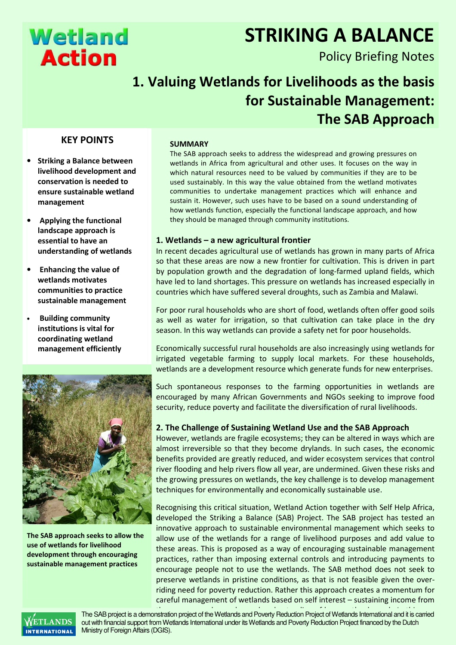# **Wetland Action**

# STRIKING A BALANCE

Policy Briefing Notes

# 1. Valuing Wetlands for Livelihoods as the basis for Sustainable Management: The SAB Approach

## KEY POINTS

- Striking a Balance between livelihood development and conservation is needed to ensure sustainable wetland management
- Applying the functional landscape approach is essential to have an understanding of wetlands
- Enhancing the value of wetlands motivates communities to practice sustainable management
- Building community institutions is vital for coordinating wetland management efficiently



The SAB approach seeks to allow the use of wetlands for livelihood development through encouraging sustainable management practices

#### SUMMARY

The SAB approach seeks to address the widespread and growing pressures on wetlands in Africa from agricultural and other uses. It focuses on the way in which natural resources need to be valued by communities if they are to be used sustainably. In this way the value obtained from the wetland motivates communities to undertake management practices which will enhance and sustain it. However, such uses have to be based on a sound understanding of how wetlands function, especially the functional landscape approach, and how they should be managed through community institutions.

### 1. Wetlands – a new agricultural frontier

In recent decades agricultural use of wetlands has grown in many parts of Africa so that these areas are now a new frontier for cultivation. This is driven in part by population growth and the degradation of long-farmed upland fields, which have led to land shortages. This pressure on wetlands has increased especially in countries which have suffered several droughts, such as Zambia and Malawi.

For poor rural households who are short of food, wetlands often offer good soils as well as water for irrigation, so that cultivation can take place in the dry season. In this way wetlands can provide a safety net for poor households.

Economically successful rural households are also increasingly using wetlands for irrigated vegetable farming to supply local markets. For these households, wetlands are a development resource which generate funds for new enterprises.

Such spontaneous responses to the farming opportunities in wetlands are encouraged by many African Governments and NGOs seeking to improve food security, reduce poverty and facilitate the diversification of rural livelihoods.

### 2. The Challenge of Sustaining Wetland Use and the SAB Approach

However, wetlands are fragile ecosystems; they can be altered in ways which are almost irreversible so that they become drylands. In such cases, the economic benefits provided are greatly reduced, and wider ecosystem services that control river flooding and help rivers flow all year, are undermined. Given these risks and the growing pressures on wetlands, the key challenge is to develop management techniques for environmentally and economically sustainable use.

Recognising this critical situation, Wetland Action together with Self Help Africa, developed the Striking a Balance (SAB) Project. The SAB project has tested an innovative approach to sustainable environmental management which seeks to allow use of the wetlands for a range of livelihood purposes and add value to these areas. This is proposed as a way of encouraging sustainable management practices, rather than imposing external controls and introducing payments to encourage people not to use the wetlands. The SAB method does not seek to preserve wetlands in pristine conditions, as that is not feasible given the overriding need for poverty reduction. Rather this approach creates a momentum for careful management of wetlands based on self interest – sustaining income from



The SAB project is a demonstration project of the Wetlands and Poverty Reduction Project of Wetlands International and it is carried out with financial support from Wetlands International under its Wetlands and Poverty Reduction Project financed by the Dutch Ministry of Foreign Affairs (DGIS).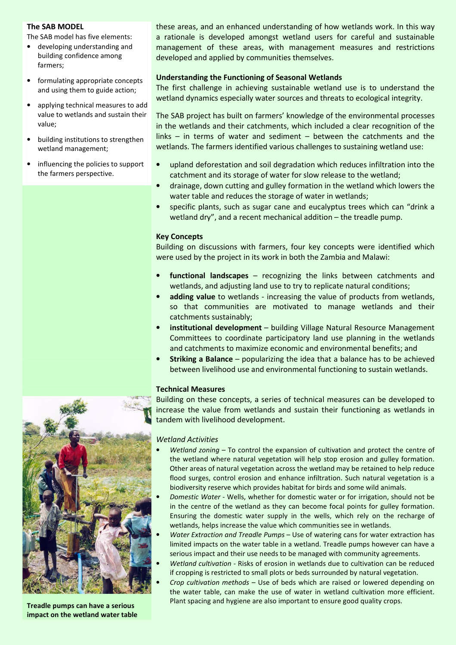#### The SAB MODEL

The SAB model has five elements:

- developing understanding and building confidence among farmers;
- formulating appropriate concepts and using them to guide action;
- applying technical measures to add value to wetlands and sustain their value;
- building institutions to strengthen wetland management;
- influencing the policies to support the farmers perspective.

these areas, and an enhanced understanding of how wetlands work. In this way a rationale is developed amongst wetland users for careful and sustainable management of these areas, with management measures and restrictions developed and applied by communities themselves.

#### Understanding the Functioning of Seasonal Wetlands

The first challenge in achieving sustainable wetland use is to understand the wetland dynamics especially water sources and threats to ecological integrity.

The SAB project has built on farmers' knowledge of the environmental processes in the wetlands and their catchments, which included a clear recognition of the links – in terms of water and sediment – between the catchments and the wetlands. The farmers identified various challenges to sustaining wetland use:

- upland deforestation and soil degradation which reduces infiltration into the catchment and its storage of water for slow release to the wetland;
- drainage, down cutting and gulley formation in the wetland which lowers the water table and reduces the storage of water in wetlands;
- specific plants, such as sugar cane and eucalyptus trees which can "drink a wetland dry", and a recent mechanical addition – the treadle pump.

#### Key Concepts

Building on discussions with farmers, four key concepts were identified which were used by the project in its work in both the Zambia and Malawi:

- functional landscapes recognizing the links between catchments and wetlands, and adjusting land use to try to replicate natural conditions;
- adding value to wetlands increasing the value of products from wetlands, so that communities are motivated to manage wetlands and their catchments sustainably;
- institutional development building Village Natural Resource Management Committees to coordinate participatory land use planning in the wetlands and catchments to maximize economic and environmental benefits; and
- Striking a Balance popularizing the idea that a balance has to be achieved between livelihood use and environmental functioning to sustain wetlands.

#### Technical Measures

Building on these concepts, a series of technical measures can be developed to increase the value from wetlands and sustain their functioning as wetlands in tandem with livelihood development.



- Wetland zoning  $-$  To control the expansion of cultivation and protect the centre of the wetland where natural vegetation will help stop erosion and gulley formation. Other areas of natural vegetation across the wetland may be retained to help reduce flood surges, control erosion and enhance infiltration. Such natural vegetation is a biodiversity reserve which provides habitat for birds and some wild animals.
- Domestic Water Wells, whether for domestic water or for irrigation, should not be in the centre of the wetland as they can become focal points for gulley formation. Ensuring the domestic water supply in the wells, which rely on the recharge of wetlands, helps increase the value which communities see in wetlands.
- Water Extraction and Treadle Pumps Use of watering cans for water extraction has limited impacts on the water table in a wetland. Treadle pumps however can have a serious impact and their use needs to be managed with community agreements.
- Wetland cultivation Risks of erosion in wetlands due to cultivation can be reduced if cropping is restricted to small plots or beds surrounded by natural vegetation.
- Crop cultivation methods Use of beds which are raised or lowered depending on the water table, can make the use of water in wetland cultivation more efficient. Plant spacing and hygiene are also important to ensure good quality crops.



Treadle pumps can have a serious impact on the wetland water table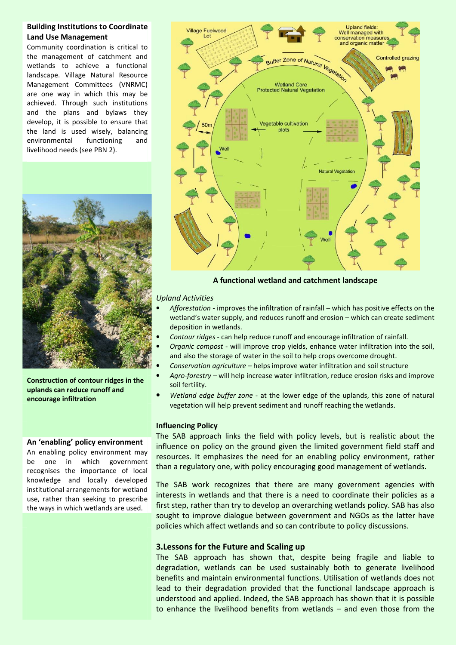#### Building Institutions to Coordinate Land Use Management

Community coordination is critical to the management of catchment and wetlands to achieve a functional landscape. Village Natural Resource Management Committees (VNRMC) are one way in which this may be achieved. Through such institutions and the plans and bylaws they develop, it is possible to ensure that the land is used wisely, balancing environmental functioning and livelihood needs (see PBN 2).



Construction of contour ridges in the uplands can reduce runoff and encourage infiltration

#### An 'enabling' policy environment

An enabling policy environment may be one in which government recognises the importance of local knowledge and locally developed institutional arrangements for wetland use, rather than seeking to prescribe the ways in which wetlands are used.



A functional wetland and catchment landscape

#### Upland Activities

- Afforestation improves the infiltration of rainfall which has positive effects on the wetland's water supply, and reduces runoff and erosion – which can create sediment deposition in wetlands.
- Contour ridges can help reduce runoff and encourage infiltration of rainfall.
- Organic compost will improve crop yields, enhance water infiltration into the soil, and also the storage of water in the soil to help crops overcome drought.
- Conservation agriculture helps improve water infiltration and soil structure
- Agro-forestry will help increase water infiltration, reduce erosion risks and improve soil fertility.
- Wetland edge buffer zone at the lower edge of the uplands, this zone of natural vegetation will help prevent sediment and runoff reaching the wetlands.

#### Influencing Policy

The SAB approach links the field with policy levels, but is realistic about the influence on policy on the ground given the limited government field staff and resources. It emphasizes the need for an enabling policy environment, rather than a regulatory one, with policy encouraging good management of wetlands.

The SAB work recognizes that there are many government agencies with interests in wetlands and that there is a need to coordinate their policies as a first step, rather than try to develop an overarching wetlands policy. SAB has also sought to improve dialogue between government and NGOs as the latter have policies which affect wetlands and so can contribute to policy discussions.

#### 3.Lessons for the Future and Scaling up

The SAB approach has shown that, despite being fragile and liable to degradation, wetlands can be used sustainably both to generate livelihood benefits and maintain environmental functions. Utilisation of wetlands does not lead to their degradation provided that the functional landscape approach is understood and applied. Indeed, the SAB approach has shown that it is possible to enhance the livelihood benefits from wetlands – and even those from the